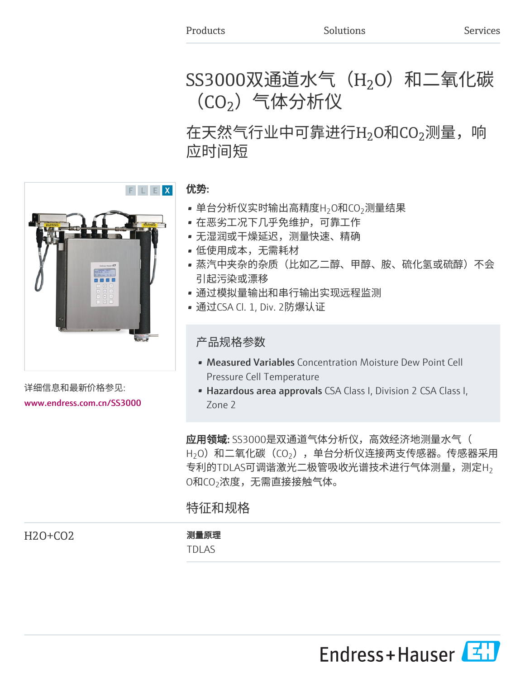# SS3000双通道水气(H $_{2}$ O)和二氧化碳 (CO $_2$ )气体分析仪

# 在天然气行业中可靠进行H $_2$ O和CO $_2$ 测量,响 应时间短

# 优势:

- $\bullet$  单台分析仪实时输出高精度H $_2$ O和CO $_2$ 测量结果
- 在恶劣工况下几乎免维护,可靠工作
- 无湿润或干燥延迟,测量快速、精确
- 低使用成本,无需耗材
- 蒸汽中夹杂的杂质(比如乙二醇、甲醇、胺、硫化氢或硫醇)不会 引起污染或漂移
- 通过模拟量输出和串行输出实现远程监测
- 通过CSA Cl. 1, Div. 2防爆认证

# 产品规格参数

- Measured Variables Concentration Moisture Dew Point Cell Pressure Cell Temperature
- Hazardous area approvals CSA Class I, Division 2 CSA Class I, Zone 2

应用领域: SS3000是双通道气体分析仪, 高效经济地测量水气(  $\mathsf{H}_2$ O)和二氧化碳(CO $_2$ ),单台分析仪连接两支传感器。传感器采用 专利的TDLAS可调谐激光二极管吸收光谱技术进行气体测量,测定H $_2$ 0和CO $_2$ 浓度,无需直接接触气体。

# 特征和规格

H2O+CO2 测量原理

TDLAS



详细信息和最新价格参见: [www.endress.com.cn/SS3000](https://www.endress.com.cn/SS3000)

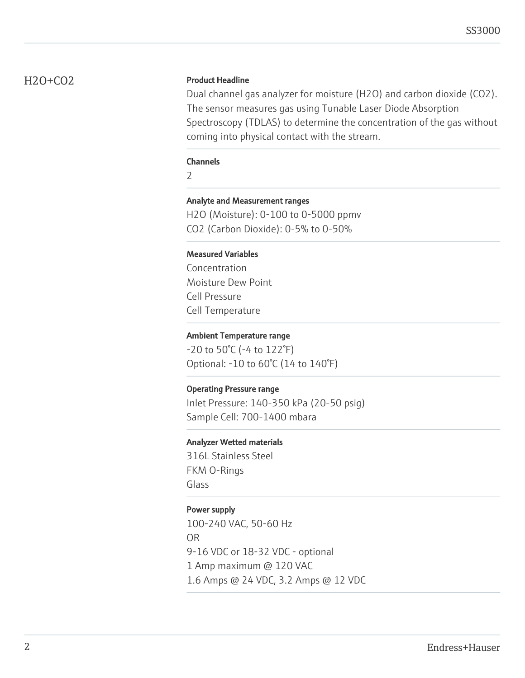# H2O+CO2 Product Headline

Dual channel gas analyzer for moisture (H2O) and carbon dioxide (CO2). The sensor measures gas using Tunable Laser Diode Absorption Spectroscopy (TDLAS) to determine the concentration of the gas without coming into physical contact with the stream.

#### Channels

 $\overline{\phantom{0}}$ 

# Analyte and Measurement ranges

H2O (Moisture): 0-100 to 0-5000 ppmv CO2 (Carbon Dioxide): 0-5% to 0-50%

# Measured Variables

Concentration Moisture Dew Point Cell Pressure Cell Temperature

### Ambient Temperature range

-20 to 50°C (-4 to 122°F) Optional: -10 to 60°C (14 to 140°F)

# Operating Pressure range

Inlet Pressure: 140-350 kPa (20-50 psig) Sample Cell: 700-1400 mbara

#### Analyzer Wetted materials

316L Stainless Steel FKM O-Rings Glass

# Power supply

100-240 VAC, 50-60 Hz OR 9-16 VDC or 18-32 VDC - optional 1 Amp maximum @ 120 VAC 1.6 Amps @ 24 VDC, 3.2 Amps @ 12 VDC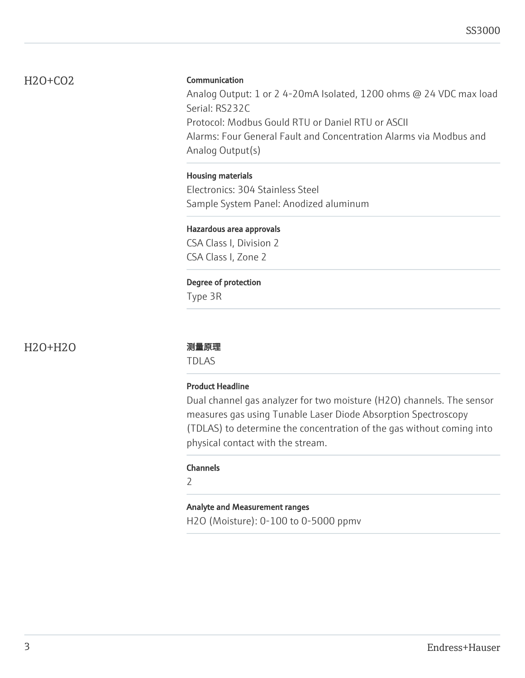# H2O+CO2

# **Communication**

Analog Output: 1 or 2 4-20mA Isolated, 1200 ohms @ 24 VDC max load Serial: RS232C Protocol: Modbus Gould RTU or Daniel RTU or ASCII Alarms: Four General Fault and Concentration Alarms via Modbus and Analog Output(s)

# Housing materials

Electronics: 304 Stainless Steel Sample System Panel: Anodized aluminum

# Hazardous area approvals

CSA Class I, Division 2 CSA Class I, Zone 2

# Degree of protection

Type 3R

H2O+H2O 测量原理

TDLAS

# Product Headline

Dual channel gas analyzer for two moisture (H2O) channels. The sensor measures gas using Tunable Laser Diode Absorption Spectroscopy (TDLAS) to determine the concentration of the gas without coming into physical contact with the stream.

# Channels

 $\overline{\phantom{a}}$ 

# Analyte and Measurement ranges

H2O (Moisture): 0-100 to 0-5000 ppmv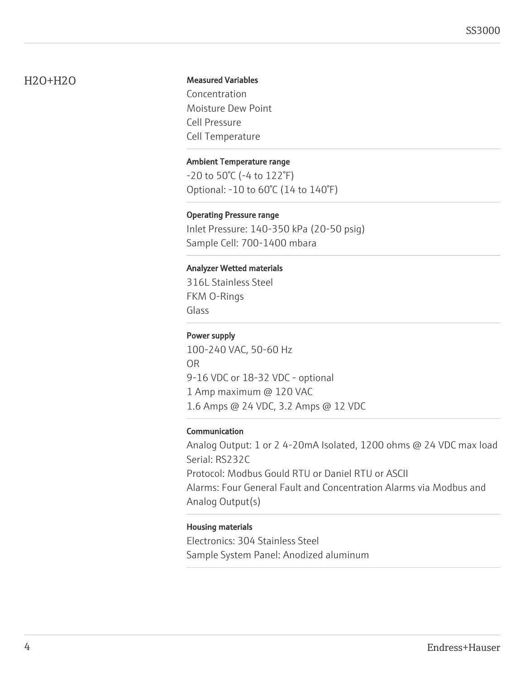# H2O+H2O

# Measured Variables

Concentration Moisture Dew Point Cell Pressure Cell Temperature

# Ambient Temperature range

-20 to 50°C (-4 to 122°F) Optional: -10 to 60°C (14 to 140°F)

### Operating Pressure range

Inlet Pressure: 140-350 kPa (20-50 psig) Sample Cell: 700-1400 mbara

### Analyzer Wetted materials

316L Stainless Steel FKM O-Rings Glass

# Power supply

100-240 VAC, 50-60 Hz OR 9-16 VDC or 18-32 VDC - optional 1 Amp maximum @ 120 VAC 1.6 Amps @ 24 VDC, 3.2 Amps @ 12 VDC

# Communication

Analog Output: 1 or 2 4-20mA Isolated, 1200 ohms @ 24 VDC max load Serial: RS232C Protocol: Modbus Gould RTU or Daniel RTU or ASCII Alarms: Four General Fault and Concentration Alarms via Modbus and Analog Output(s)

#### Housing materials

Electronics: 304 Stainless Steel Sample System Panel: Anodized aluminum